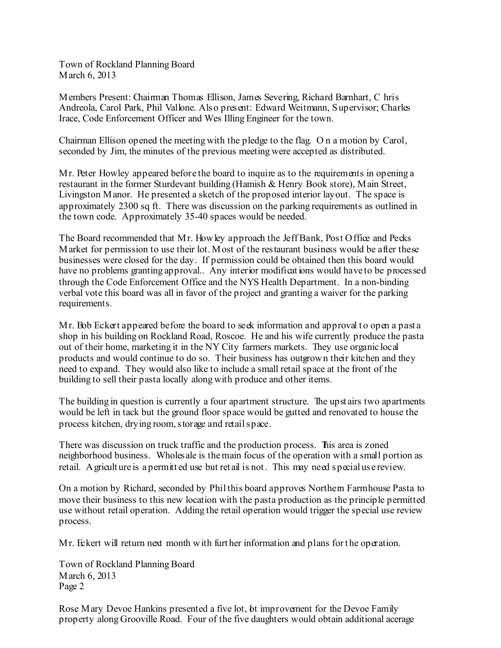Town of Rockland Planning Board March 6, 2013

Members Present: Chairman Thomas Ellison, James Severing, Richard Barnhart, C hris Andreola, Carol Park, Phil Vallone. Also present: Edward Weitmann, Supervisor; Charles Irace, Code Enforcement Officer and Wes Illing Engineer for the town.

Chairman Ellison opened the meeting with the pledge to the flag. O n a motion by Carol, seconded by Jim, the minutes of the previous meeting were accepted as distributed.

Mr. Peter Howley appeared before the board to inquire as to the requirements in opening a restaurant in the former Sturdevant building (Hamish & Henry Book store), Main Street, Livingston Manor. He presented a sketch of the proposed interior layout. The space is approximately 2300 sq ft. There was discussion on the parking requirements as outlined in the town code. Approximately 35-40 spaces would be needed.

The Board recommended that Mr. Howley approach the Jeff Bank, Post Office and Pecks Market for permission to use their lot. Most of the restaurant business would be after these businesses were closed for the day. If permission could be obtained then this board would have no problems granting approval.. Any interior modifications would have to be processed through the Code Enforcement Office and the NYS Health Department. In a non-binding verbal vote this board was all in favor of the project and granting a waiver for the parking requirements.

Mr. Bob Eckert appeared before the board to seek information and approval to open a past a shop in his building on Rockland Road, Roscoe. He and his wife currently produce the pasta out of their home, marketing it in the NY City farmers markets. They use organic local products and would continue to do so. Their business has outgrown their kitchen and they need to expand. They would also like to include a small retail space at the front of the building to sell their pasta locally along with produce and other items.

The building in question is currently a four apartment structure. The upst airs two apartments would be left in tack but the ground floor space would be gutted and renovated to house the process kitchen, drying room,storage and retailspace.

There was discussion on truck traffic and the production process. This area is zoned neighborhood business. Wholes ale is themain focus of the operation with a small portion as retail. Agricult ure is a permitt ed use but ret ail is not. This may need special us e review.

On a motion by Richard, seconded by Philthis board approves Northern Farmhouse Pasta to move their business to this new location with the pasta production as the principle permitted use without retail operation. Adding the retail operation would trigger the special use review process.

Mr. Eckert will return next month with furt her information and plans for the operation.

Town of Rockland Planning Board March 6, 2013 Page 2

Rose Mary Devoe Hankins presented a five lot, bt improvement for the Devoe Family property along Grooville Road. Four of the five daughters would obtain additional acerage